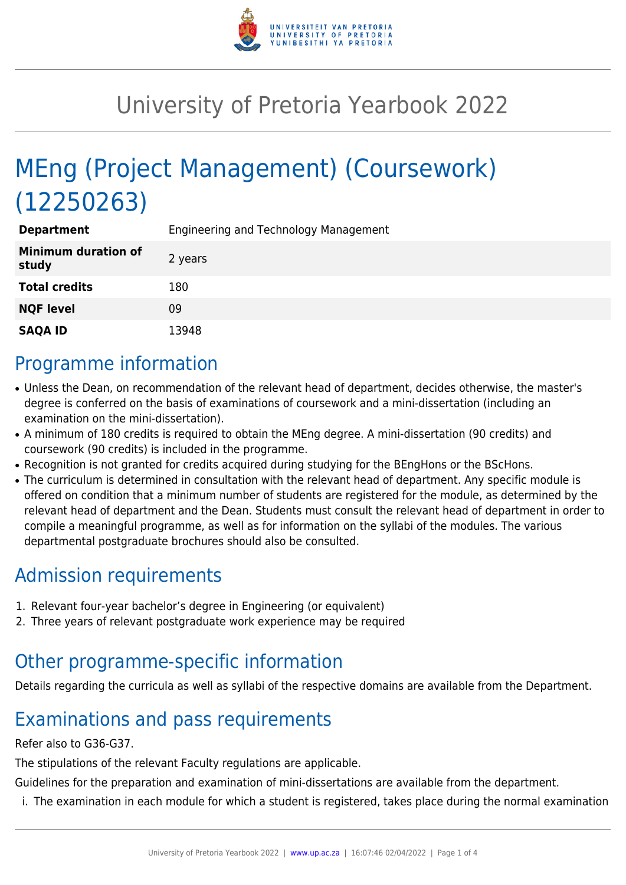

# University of Pretoria Yearbook 2022

# MEng (Project Management) (Coursework) (12250263)

| <b>Department</b>                   | Engineering and Technology Management |
|-------------------------------------|---------------------------------------|
| <b>Minimum duration of</b><br>study | 2 years                               |
| <b>Total credits</b>                | 180                                   |
| <b>NQF level</b>                    | 09                                    |
| <b>SAQA ID</b>                      | 13948                                 |

#### Programme information

- Unless the Dean, on recommendation of the relevant head of department, decides otherwise, the master's degree is conferred on the basis of examinations of coursework and a mini-dissertation (including an examination on the mini-dissertation).
- A minimum of 180 credits is required to obtain the MEng degree. A mini-dissertation (90 credits) and coursework (90 credits) is included in the programme.
- Recognition is not granted for credits acquired during studying for the BEngHons or the BScHons.
- The curriculum is determined in consultation with the relevant head of department. Any specific module is offered on condition that a minimum number of students are registered for the module, as determined by the relevant head of department and the Dean. Students must consult the relevant head of department in order to compile a meaningful programme, as well as for information on the syllabi of the modules. The various departmental postgraduate brochures should also be consulted.

## Admission requirements

- 1. Relevant four-year bachelor's degree in Engineering (or equivalent)
- 2. Three years of relevant postgraduate work experience may be required

## Other programme-specific information

Details regarding the curricula as well as syllabi of the respective domains are available from the Department.

# Examinations and pass requirements

#### Refer also to G36-G37.

The stipulations of the relevant Faculty regulations are applicable.

Guidelines for the preparation and examination of mini-dissertations are available from the department.

i. The examination in each module for which a student is registered, takes place during the normal examination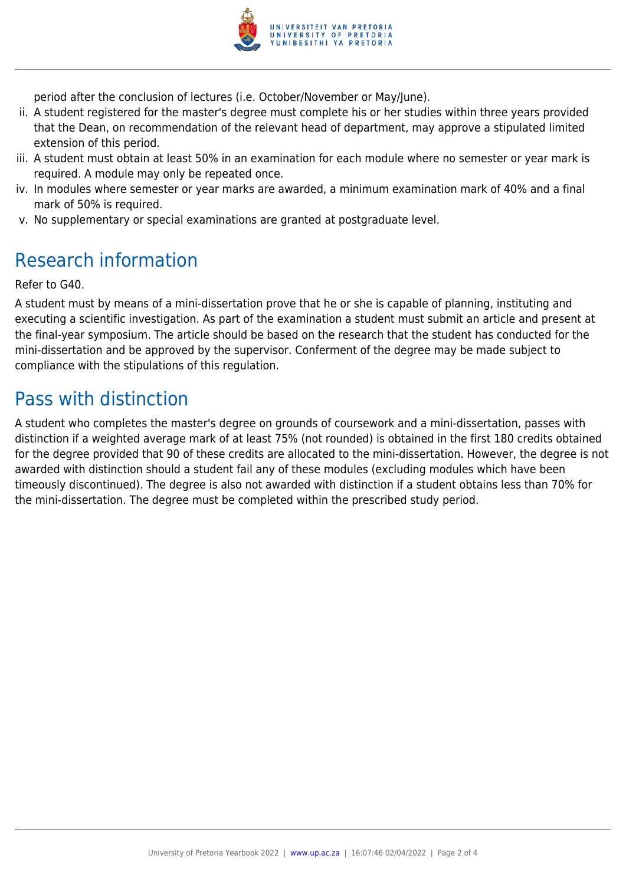

period after the conclusion of lectures (i.e. October/November or May/June).

- ii. A student registered for the master's degree must complete his or her studies within three years provided that the Dean, on recommendation of the relevant head of department, may approve a stipulated limited extension of this period.
- iii. A student must obtain at least 50% in an examination for each module where no semester or year mark is required. A module may only be repeated once.
- iv. In modules where semester or year marks are awarded, a minimum examination mark of 40% and a final mark of 50% is required.
- v. No supplementary or special examinations are granted at postgraduate level.

## Research information

Refer to G40.

A student must by means of a mini-dissertation prove that he or she is capable of planning, instituting and executing a scientific investigation. As part of the examination a student must submit an article and present at the final-year symposium. The article should be based on the research that the student has conducted for the mini-dissertation and be approved by the supervisor. Conferment of the degree may be made subject to compliance with the stipulations of this regulation.

### Pass with distinction

A student who completes the master's degree on grounds of coursework and a mini-dissertation, passes with distinction if a weighted average mark of at least 75% (not rounded) is obtained in the first 180 credits obtained for the degree provided that 90 of these credits are allocated to the mini-dissertation. However, the degree is not awarded with distinction should a student fail any of these modules (excluding modules which have been timeously discontinued). The degree is also not awarded with distinction if a student obtains less than 70% for the mini-dissertation. The degree must be completed within the prescribed study period.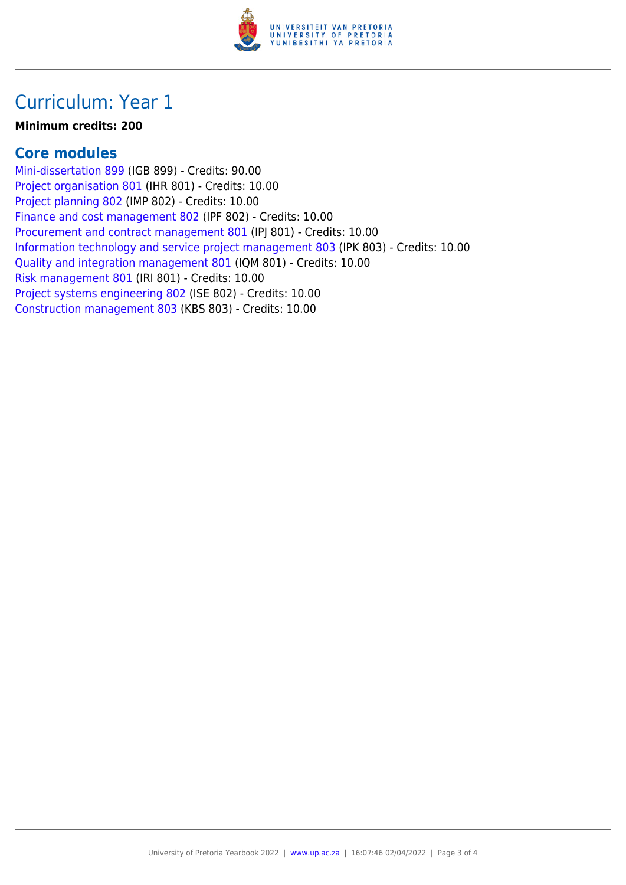

### Curriculum: Year 1

#### **Minimum credits: 200**

#### **Core modules**

[Mini-dissertation 899](https://www.up.ac.za/parents/yearbooks/2022/modules/view/IGB 899) (IGB 899) - Credits: 90.00 [Project organisation 801](https://www.up.ac.za/parents/yearbooks/2022/modules/view/IHR 801) (IHR 801) - Credits: 10.00 [Project planning 802](https://www.up.ac.za/parents/yearbooks/2022/modules/view/IMP 802) (IMP 802) - Credits: 10.00 [Finance and cost management 802](https://www.up.ac.za/parents/yearbooks/2022/modules/view/IPF 802) (IPF 802) - Credits: 10.00 [Procurement and contract management 801](https://www.up.ac.za/parents/yearbooks/2022/modules/view/IPJ 801) (IPJ 801) - Credits: 10.00 [Information technology and service project management 803](https://www.up.ac.za/parents/yearbooks/2022/modules/view/IPK 803) (IPK 803) - Credits: 10.00 [Quality and integration management 801](https://www.up.ac.za/parents/yearbooks/2022/modules/view/IQM 801) (IQM 801) - Credits: 10.00 [Risk management 801](https://www.up.ac.za/parents/yearbooks/2022/modules/view/IRI 801) (IRI 801) - Credits: 10.00 [Project systems engineering 802](https://www.up.ac.za/parents/yearbooks/2022/modules/view/ISE 802) (ISE 802) - Credits: 10.00 [Construction management 803](https://www.up.ac.za/parents/yearbooks/2022/modules/view/KBS 803) (KBS 803) - Credits: 10.00